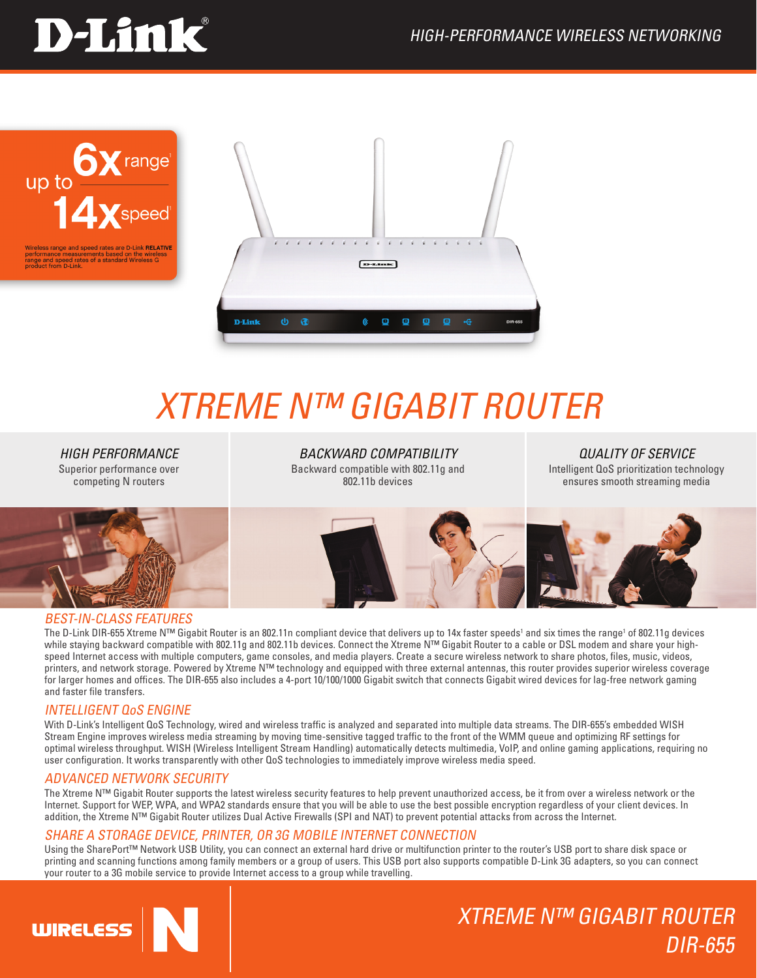# **D-Link**





## *Xtreme N™ GIGABIT ROUTER*

*High Performance* Superior performance over competing N routers

*Backward Compatibility* Backward compatible with 802.11g and 802.11b devices

*Quality of service* Intelligent QoS prioritization technology ensures smooth streaming media



#### BEST-IN-CLASS FEATURES

The D-Link DIR-655 Xtreme N™ Gigabit Router is an 802.11n compliant device that delivers up to 14x faster speeds' and six times the range' of 802.11g devices while staying backward compatible with 802.11g and 802.11b devices. Connect the Xtreme N™ Gigabit Router to a cable or DSL modem and share your highspeed Internet access with multiple computers, game consoles, and media players. Create a secure wireless network to share photos, files, music, videos, printers, and network storage. Powered by Xtreme N™ technology and equipped with three external antennas, this router provides superior wireless coverage for larger homes and offices. The DIR-655 also includes a 4-port 10/100/1000 Gigabit switch that connects Gigabit wired devices for lag-free network gaming and faster file transfers.

#### INTELLIGENT QoS ENGINE

With D-Link's Intelligent QoS Technology, wired and wireless traffic is analyzed and separated into multiple data streams. The DIR-655's embedded WISH Stream Engine improves wireless media streaming by moving time-sensitive tagged traffic to the front of the WMM queue and optimizing RF settings for optimal wireless throughput. WISH (Wireless Intelligent Stream Handling) automatically detects multimedia, VoIP, and online gaming applications, requiring no user configuration. It works transparently with other QoS technologies to immediately improve wireless media speed.

#### ADVANCED NETWORK SECURITY

The Xtreme N™ Gigabit Router supports the latest wireless security features to help prevent unauthorized access, be it from over a wireless network or the Internet. Support for WEP, WPA, and WPA2 standards ensure that you will be able to use the best possible encryption regardless of your client devices. In addition, the Xtreme N™ Gigabit Router utilizes Dual Active Firewalls (SPI and NAT) to prevent potential attacks from across the Internet.

#### SHARE A STORAGE DEVICE, PRINTER, OR 3G MOBILE INTERNET CONNECTION

Using the SharePort™ Network USB Utility, you can connect an external hard drive or multifunction printer to the router's USB port to share disk space or printing and scanning functions among family members or a group of users. This USB port also supports compatible D-Link 3G adapters, so you can connect your router to a 3G mobile service to provide Internet access to a group while travelling.



## Xtreme N™ GIGABIT ROUTER DIR-655